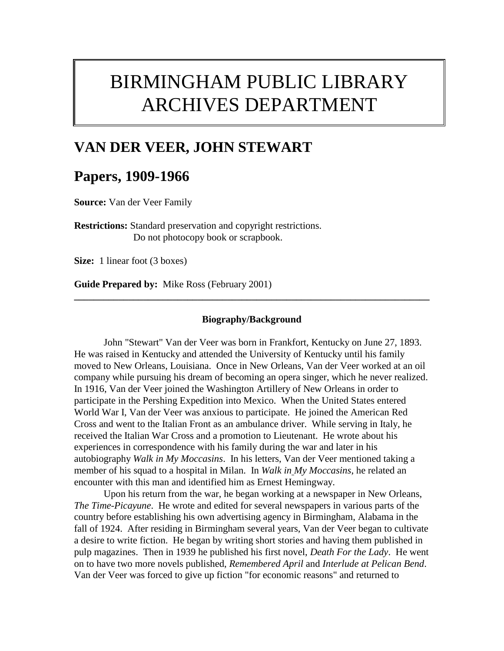# BIRMINGHAM PUBLIC LIBRARY ARCHIVES DEPARTMENT

## **VAN DER VEER, JOHN STEWART**

### **Papers, 1909-1966**

**Source:** Van der Veer Family

**Restrictions:** Standard preservation and copyright restrictions. Do not photocopy book or scrapbook.

**Size:** 1 linear foot (3 boxes)

**Guide Prepared by:** Mike Ross (February 2001)

#### **Biography/Background**

**\_\_\_\_\_\_\_\_\_\_\_\_\_\_\_\_\_\_\_\_\_\_\_\_\_\_\_\_\_\_\_\_\_\_\_\_\_\_\_\_\_\_\_\_\_\_\_\_\_\_\_\_\_\_\_\_\_\_\_\_\_\_\_\_\_\_\_\_\_\_\_\_**

John "Stewart" Van der Veer was born in Frankfort, Kentucky on June 27, 1893. He was raised in Kentucky and attended the University of Kentucky until his family moved to New Orleans, Louisiana. Once in New Orleans, Van der Veer worked at an oil company while pursuing his dream of becoming an opera singer, which he never realized. In 1916, Van der Veer joined the Washington Artillery of New Orleans in order to participate in the Pershing Expedition into Mexico. When the United States entered World War I, Van der Veer was anxious to participate. He joined the American Red Cross and went to the Italian Front as an ambulance driver. While serving in Italy, he received the Italian War Cross and a promotion to Lieutenant. He wrote about his experiences in correspondence with his family during the war and later in his autobiography *Walk in My Moccasins*. In his letters, Van der Veer mentioned taking a member of his squad to a hospital in Milan. In *Walk in My Moccasins*, he related an encounter with this man and identified him as Ernest Hemingway.

Upon his return from the war, he began working at a newspaper in New Orleans, *The Time-Picayune*. He wrote and edited for several newspapers in various parts of the country before establishing his own advertising agency in Birmingham, Alabama in the fall of 1924. After residing in Birmingham several years, Van der Veer began to cultivate a desire to write fiction. He began by writing short stories and having them published in pulp magazines. Then in 1939 he published his first novel, *Death For the Lady*. He went on to have two more novels published, *Remembered April* and *Interlude at Pelican Bend*. Van der Veer was forced to give up fiction "for economic reasons" and returned to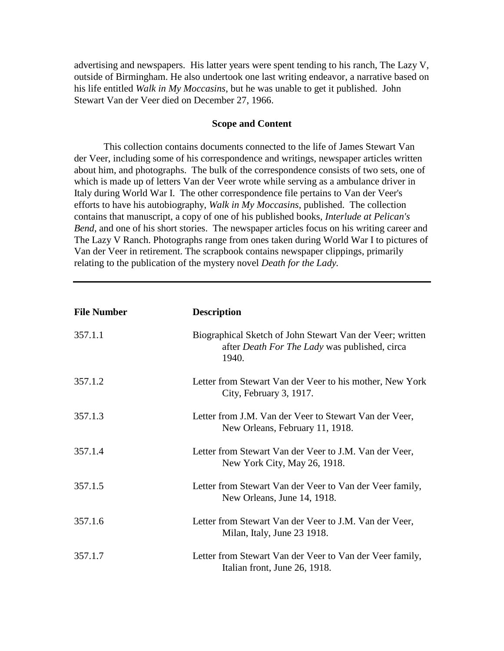advertising and newspapers. His latter years were spent tending to his ranch, The Lazy V, outside of Birmingham. He also undertook one last writing endeavor, a narrative based on his life entitled *Walk in My Moccasins*, but he was unable to get it published. John Stewart Van der Veer died on December 27, 1966.

### **Scope and Content**

This collection contains documents connected to the life of James Stewart Van der Veer, including some of his correspondence and writings, newspaper articles written about him, and photographs. The bulk of the correspondence consists of two sets, one of which is made up of letters Van der Veer wrote while serving as a ambulance driver in Italy during World War I. The other correspondence file pertains to Van der Veer's efforts to have his autobiography, *Walk in My Moccasins*, published. The collection contains that manuscript, a copy of one of his published books, *Interlude at Pelican's Bend*, and one of his short stories. The newspaper articles focus on his writing career and The Lazy V Ranch. Photographs range from ones taken during World War I to pictures of Van der Veer in retirement. The scrapbook contains newspaper clippings, primarily relating to the publication of the mystery novel *Death for the Lady.* 

| <b>File Number</b> | <b>Description</b>                                                                                                         |
|--------------------|----------------------------------------------------------------------------------------------------------------------------|
| 357.1.1            | Biographical Sketch of John Stewart Van der Veer; written<br>after <i>Death For The Lady</i> was published, circa<br>1940. |
| 357.1.2            | Letter from Stewart Van der Veer to his mother, New York<br>City, February 3, 1917.                                        |
| 357.1.3            | Letter from J.M. Van der Veer to Stewart Van der Veer,<br>New Orleans, February 11, 1918.                                  |
| 357.1.4            | Letter from Stewart Van der Veer to J.M. Van der Veer,<br>New York City, May 26, 1918.                                     |
| 357.1.5            | Letter from Stewart Van der Veer to Van der Veer family,<br>New Orleans, June 14, 1918.                                    |
| 357.1.6            | Letter from Stewart Van der Veer to J.M. Van der Veer,<br>Milan, Italy, June 23 1918.                                      |
| 357.1.7            | Letter from Stewart Van der Veer to Van der Veer family,<br>Italian front, June 26, 1918.                                  |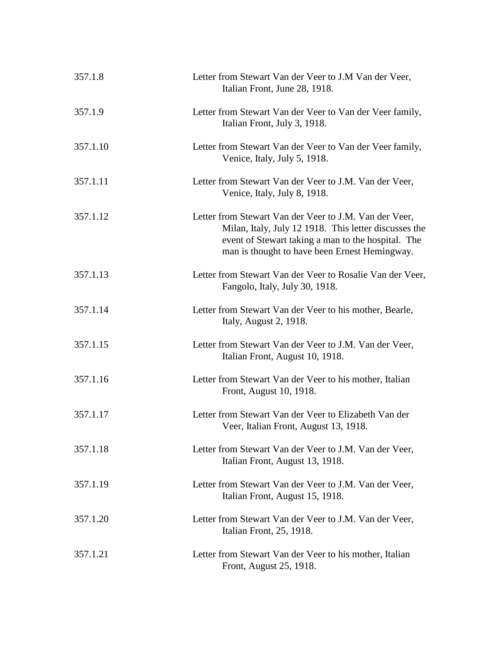| 357.1.8  | Letter from Stewart Van der Veer to J.M Van der Veer,<br>Italian Front, June 28, 1918.                                                                                                                                 |
|----------|------------------------------------------------------------------------------------------------------------------------------------------------------------------------------------------------------------------------|
| 357.1.9  | Letter from Stewart Van der Veer to Van der Veer family,<br>Italian Front, July 3, 1918.                                                                                                                               |
| 357.1.10 | Letter from Stewart Van der Veer to Van der Veer family,<br>Venice, Italy, July 5, 1918.                                                                                                                               |
| 357.1.11 | Letter from Stewart Van der Veer to J.M. Van der Veer,<br>Venice, Italy, July 8, 1918.                                                                                                                                 |
| 357.1.12 | Letter from Stewart Van der Veer to J.M. Van der Veer,<br>Milan, Italy, July 12 1918. This letter discusses the<br>event of Stewart taking a man to the hospital. The<br>man is thought to have been Ernest Hemingway. |
| 357.1.13 | Letter from Stewart Van der Veer to Rosalie Van der Veer,<br>Fangolo, Italy, July 30, 1918.                                                                                                                            |
| 357.1.14 | Letter from Stewart Van der Veer to his mother, Bearle,<br>Italy, August 2, 1918.                                                                                                                                      |
| 357.1.15 | Letter from Stewart Van der Veer to J.M. Van der Veer,<br>Italian Front, August 10, 1918.                                                                                                                              |
| 357.1.16 | Letter from Stewart Van der Veer to his mother, Italian<br>Front, August 10, 1918.                                                                                                                                     |
| 357.1.17 | Letter from Stewart Van der Veer to Elizabeth Van der<br>Veer, Italian Front, August 13, 1918.                                                                                                                         |
| 357.1.18 | Letter from Stewart Van der Veer to J.M. Van der Veer,<br>Italian Front, August 13, 1918.                                                                                                                              |
| 357.1.19 | Letter from Stewart Van der Veer to J.M. Van der Veer,<br>Italian Front, August 15, 1918.                                                                                                                              |
| 357.1.20 | Letter from Stewart Van der Veer to J.M. Van der Veer,<br>Italian Front, 25, 1918.                                                                                                                                     |
| 357.1.21 | Letter from Stewart Van der Veer to his mother, Italian<br>Front, August 25, 1918.                                                                                                                                     |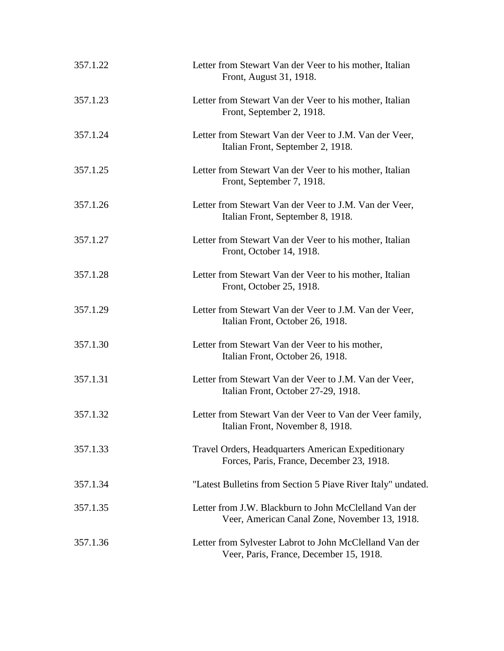| 357.1.22 | Letter from Stewart Van der Veer to his mother, Italian<br>Front, August 31, 1918.                     |
|----------|--------------------------------------------------------------------------------------------------------|
| 357.1.23 | Letter from Stewart Van der Veer to his mother, Italian<br>Front, September 2, 1918.                   |
| 357.1.24 | Letter from Stewart Van der Veer to J.M. Van der Veer,<br>Italian Front, September 2, 1918.            |
| 357.1.25 | Letter from Stewart Van der Veer to his mother, Italian<br>Front, September 7, 1918.                   |
| 357.1.26 | Letter from Stewart Van der Veer to J.M. Van der Veer,<br>Italian Front, September 8, 1918.            |
| 357.1.27 | Letter from Stewart Van der Veer to his mother, Italian<br>Front, October 14, 1918.                    |
| 357.1.28 | Letter from Stewart Van der Veer to his mother, Italian<br>Front, October 25, 1918.                    |
| 357.1.29 | Letter from Stewart Van der Veer to J.M. Van der Veer,<br>Italian Front, October 26, 1918.             |
| 357.1.30 | Letter from Stewart Van der Veer to his mother,<br>Italian Front, October 26, 1918.                    |
| 357.1.31 | Letter from Stewart Van der Veer to J.M. Van der Veer,<br>Italian Front, October 27-29, 1918.          |
| 357.1.32 | Letter from Stewart Van der Veer to Van der Veer family,<br>Italian Front, November 8, 1918.           |
| 357.1.33 | Travel Orders, Headquarters American Expeditionary<br>Forces, Paris, France, December 23, 1918.        |
| 357.1.34 | "Latest Bulletins from Section 5 Piave River Italy" undated.                                           |
| 357.1.35 | Letter from J.W. Blackburn to John McClelland Van der<br>Veer, American Canal Zone, November 13, 1918. |
| 357.1.36 | Letter from Sylvester Labrot to John McClelland Van der<br>Veer, Paris, France, December 15, 1918.     |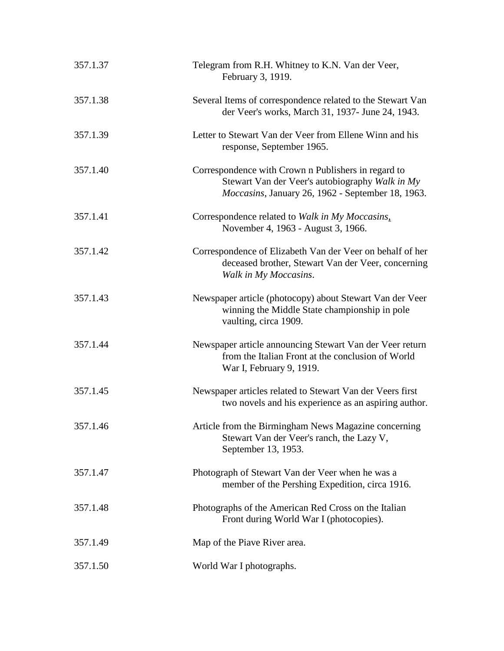| 357.1.37 | Telegram from R.H. Whitney to K.N. Van der Veer,<br>February 3, 1919.                                                                                       |
|----------|-------------------------------------------------------------------------------------------------------------------------------------------------------------|
| 357.1.38 | Several Items of correspondence related to the Stewart Van<br>der Veer's works, March 31, 1937- June 24, 1943.                                              |
| 357.1.39 | Letter to Stewart Van der Veer from Ellene Winn and his<br>response, September 1965.                                                                        |
| 357.1.40 | Correspondence with Crown n Publishers in regard to<br>Stewart Van der Veer's autobiography Walk in My<br>Moccasins, January 26, 1962 - September 18, 1963. |
| 357.1.41 | Correspondence related to Walk in My Moccasins,<br>November 4, 1963 - August 3, 1966.                                                                       |
| 357.1.42 | Correspondence of Elizabeth Van der Veer on behalf of her<br>deceased brother, Stewart Van der Veer, concerning<br>Walk in My Moccasins.                    |
| 357.1.43 | Newspaper article (photocopy) about Stewart Van der Veer<br>winning the Middle State championship in pole<br>vaulting, circa 1909.                          |
| 357.1.44 | Newspaper article announcing Stewart Van der Veer return<br>from the Italian Front at the conclusion of World<br>War I, February 9, 1919.                   |
| 357.1.45 | Newspaper articles related to Stewart Van der Veers first<br>two novels and his experience as an aspiring author.                                           |
| 357.1.46 | Article from the Birmingham News Magazine concerning<br>Stewart Van der Veer's ranch, the Lazy V,<br>September 13, 1953.                                    |
| 357.1.47 | Photograph of Stewart Van der Veer when he was a<br>member of the Pershing Expedition, circa 1916.                                                          |
| 357.1.48 | Photographs of the American Red Cross on the Italian<br>Front during World War I (photocopies).                                                             |
| 357.1.49 | Map of the Piave River area.                                                                                                                                |
| 357.1.50 | World War I photographs.                                                                                                                                    |
|          |                                                                                                                                                             |